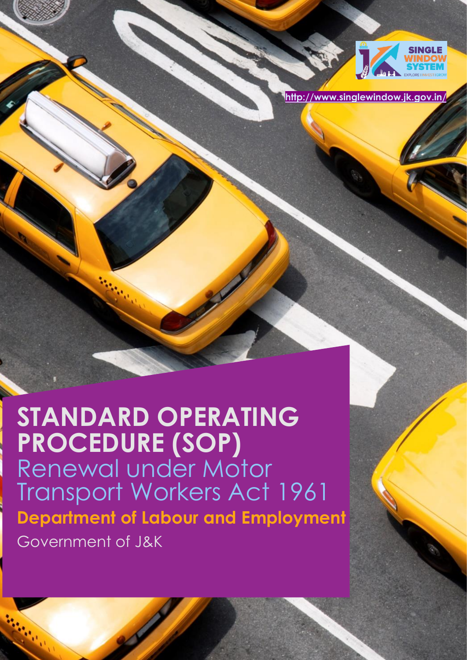

**<http://www.singlewindow.jk.gov.in/>**

# **STANDARD OPERATING PROCEDURE (SOP)** Renewal under Motor Transport Workers Act 1961 **Department of Labour and Employment**  Government of J&K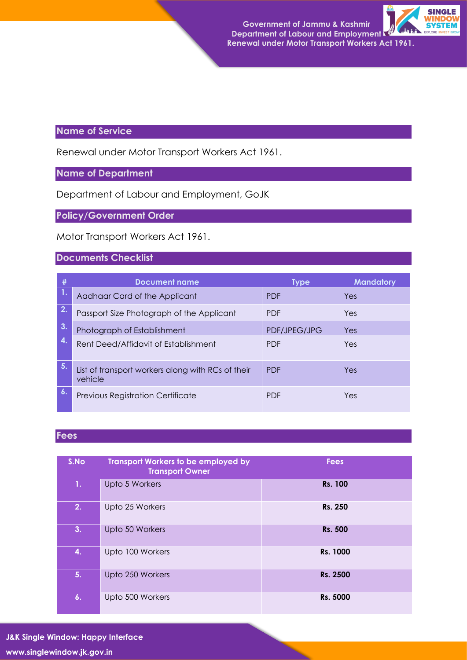

#### **Name of Service**

Renewal under Motor Transport Workers Act 1961.

#### **Name of Department**

Department of Labour and Employment, GoJK

**Policy/Government Order** 

Motor Transport Workers Act 1961.

#### **Documents Checklist**

| #                | <b>Document name</b>                                         | Type         | <b>Mandatory</b> |
|------------------|--------------------------------------------------------------|--------------|------------------|
|                  | Aadhaar Card of the Applicant                                | <b>PDF</b>   | Yes              |
| 2.               | Passport Size Photograph of the Applicant                    | <b>PDF</b>   | Yes              |
| 3.               | Photograph of Establishment                                  | PDF/JPEG/JPG | Yes              |
| $\boldsymbol{A}$ | Rent Deed/Affidavit of Establishment                         | <b>PDF</b>   | Yes              |
| 5.               | List of transport workers along with RCs of their<br>vehicle | <b>PDF</b>   | Yes              |
| $\mathbf{6}$ .   | Previous Registration Certificate                            | <b>PDF</b>   | Yes              |

#### **Fees**

| S.No | <b>Transport Workers to be employed by</b><br><b>Transport Owner</b> | <b>Fees</b>    |
|------|----------------------------------------------------------------------|----------------|
| 1.   | Upto 5 Workers                                                       | <b>Rs. 100</b> |
| 2.   | Upto 25 Workers                                                      | Rs. 250        |
| 3.   | Upto 50 Workers                                                      | <b>Rs. 500</b> |
| 4.   | Upto 100 Workers                                                     | Rs. 1000       |
| 5.   | Upto 250 Workers                                                     | Rs. 2500       |
| 6.   | Upto 500 Workers                                                     | Rs. 5000       |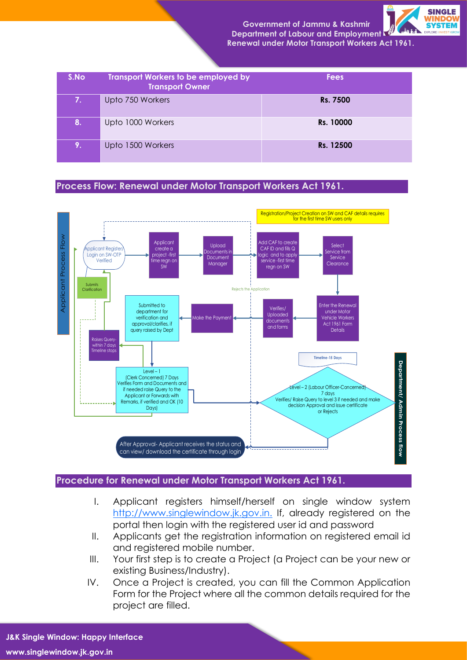**Government of Jammu & Kashmir Department of Labour and Employment**



 **Renewal under Motor Transport Workers Act 1961.**

| S.No | <b>Transport Workers to be employed by</b><br><b>Transport Owner</b> | <b>Fees</b> |
|------|----------------------------------------------------------------------|-------------|
| 7.   | Upto 750 Workers                                                     | Rs. 7500    |
| 8.   | Upto 1000 Workers                                                    | Rs. 10000   |
| 19.  | Upto 1500 Workers                                                    | Rs. 12500   |

#### **Process Flow: Renewal under Motor Transport Workers Act 1961.**



#### **Procedure for Renewal under Motor Transport Workers Act 1961.**

- I. Applicant registers himself/herself on single window system [http://www.singlewindow.jk.gov.in.](http://www.singlewindow.jk.gov.in./) If, already registered on the portal then login with the registered user id and password
- II. Applicants get the registration information on registered email id and registered mobile number.
- III. Your first step is to create a Project (a Project can be your new or existing Business/Industry).
- IV. Once a Project is created, you can fill the Common Application Form for the Project where all the common details required for the project are filled.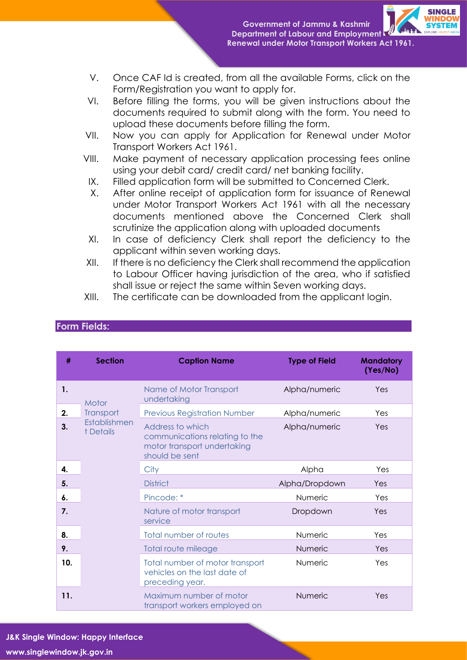

- V. Once CAF Id is created, from all the available Forms, click on the Form/Registration you want to apply for.
- VI. Before filling the forms, you will be given instructions about the documents required to submit along with the form. You need to upload these documents before filling the form.
- VII. Now you can apply for Application for Renewal under Motor Transport Workers Act 1961.
- VIII. Make payment of necessary application processing fees online using your debit card/ credit card/ net banking facility.
- IX. Filled application form will be submitted to Concerned Clerk.
- X. After online receipt of application form for issuance of Renewal under Motor Transport Workers Act 1961 with all the necessary documents mentioned above the Concerned Clerk shall scrutinize the application along with uploaded documents
- XI. In case of deficiency Clerk shall report the deficiency to the applicant within seven working days.
- XII. If there is no deficiency the Clerk shall recommend the application to Labour Officer having jurisdiction of the area, who if satisfied shall issue or reject the same within Seven working days.
- XIII. The certificate can be downloaded from the applicant login.

| #   | <b>Section</b>            | <b>Caption Name</b>                                                                                 | <b>Type of Field</b> | <b>Mandatory</b><br>(Yes/No) |
|-----|---------------------------|-----------------------------------------------------------------------------------------------------|----------------------|------------------------------|
| 1.  | Motor                     | Name of Motor Transport<br>undertaking                                                              | Alpha/numeric        | Yes                          |
| 2.  | Transport                 | <b>Previous Registration Number</b>                                                                 | Alpha/numeric        | Yes                          |
| 3.  | Establishmen<br>t Details | Address to which<br>communications relating to the<br>motor transport undertaking<br>should be sent | Alpha/numeric        | Yes                          |
| 4.  |                           | City                                                                                                | Alpha                | Yes                          |
| 5.  |                           | <b>District</b>                                                                                     | Alpha/Dropdown       | Yes                          |
| 6.  |                           | Pincode: *                                                                                          | Numeric              | Yes                          |
| 7.  |                           | Nature of motor transport<br>service                                                                | Dropdown             | Yes                          |
| 8.  |                           | Total number of routes                                                                              | Numeric              | Yes                          |
| 9.  |                           | Total route mileage                                                                                 | Numeric              | Yes                          |
| 10. |                           | Total number of motor transport<br>vehicles on the last date of<br>preceding year.                  | Numeric              | Yes                          |
| 11. |                           | Maximum number of motor<br>transport workers employed on                                            | Numeric              | Yes                          |

#### **Form Fields:**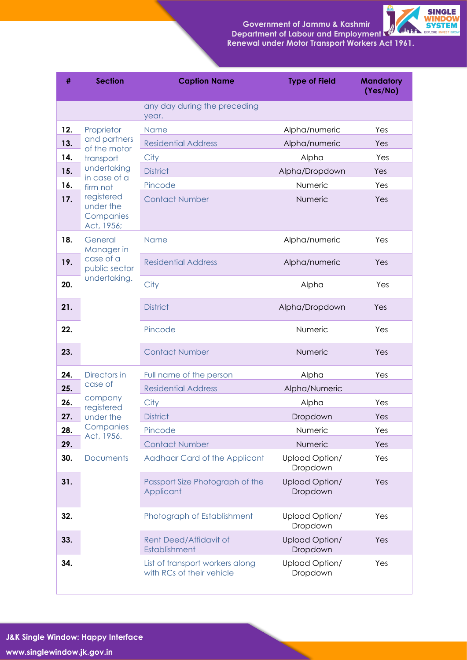### **Government of Jammu & Kashmir Department of Labour and Employment**



 **Renewal under Motor Transport Workers Act 1961.**

| #   | <b>Section</b>                                     | <b>Caption Name</b>                                          | <b>Type of Field</b>       | <b>Mandatory</b><br>(Yes/No) |
|-----|----------------------------------------------------|--------------------------------------------------------------|----------------------------|------------------------------|
|     |                                                    | any day during the preceding<br>year.                        |                            |                              |
| 12. | Proprietor<br>and partners<br>of the motor         | <b>Name</b>                                                  | Alpha/numeric              | Yes                          |
| 13. |                                                    | <b>Residential Address</b>                                   | Alpha/numeric              | Yes                          |
| 14. | transport                                          | City                                                         | Alpha                      | Yes                          |
| 15. | undertaking<br>in case of a                        | <b>District</b>                                              | Alpha/Dropdown             | Yes                          |
| 16. | firm not                                           | Pincode                                                      | Numeric                    | Yes                          |
| 17. | registered<br>under the<br>Companies<br>Act, 1956; | <b>Contact Number</b>                                        | Numeric                    | Yes                          |
| 18. | General<br>Manager in                              | <b>Name</b>                                                  | Alpha/numeric              | Yes                          |
| 19. | case of a<br>public sector                         | <b>Residential Address</b>                                   | Alpha/numeric              | Yes                          |
| 20. | undertaking.                                       | City                                                         | Alpha                      | Yes                          |
| 21. |                                                    | <b>District</b>                                              | Alpha/Dropdown             | Yes                          |
| 22. |                                                    | Pincode                                                      | Numeric                    | Yes                          |
| 23. |                                                    | <b>Contact Number</b>                                        | Numeric                    | Yes                          |
| 24. | Directors in                                       | Full name of the person                                      | Alpha                      | Yes                          |
| 25. | case of                                            | <b>Residential Address</b>                                   | Alpha/Numeric              |                              |
| 26. | company<br>registered                              | City                                                         | Alpha                      | Yes                          |
| 27. | under the                                          | <b>District</b>                                              | Dropdown                   | Yes                          |
| 28. | Companies<br>Act, 1956.                            | Pincode                                                      | Numeric                    | Yes                          |
| 29. |                                                    | <b>Contact Number</b>                                        | Numeric                    | Yes                          |
| 30. | <b>Documents</b>                                   | Aadhaar Card of the Applicant                                | Upload Option/<br>Dropdown | Yes                          |
| 31. |                                                    | Passport Size Photograph of the<br>Applicant                 | Upload Option/<br>Dropdown | Yes                          |
| 32. |                                                    | Photograph of Establishment                                  | Upload Option/<br>Dropdown | Yes                          |
| 33. |                                                    | Rent Deed/Affidavit of<br>Establishment                      | Upload Option/<br>Dropdown | Yes                          |
| 34. |                                                    | List of transport workers along<br>with RCs of their vehicle | Upload Option/<br>Dropdown | Yes                          |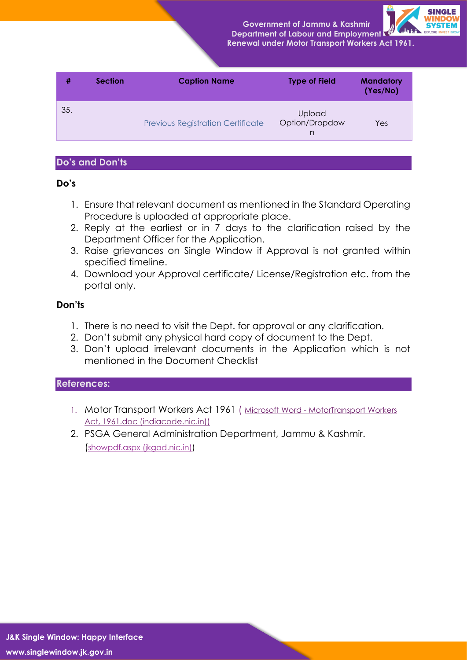**Government of Jammu & Kashmir Department of Labour and Employment**



| <b>Renewal under Motor Transport Workers Act 1961.</b> |  |  |
|--------------------------------------------------------|--|--|
|                                                        |  |  |

| #   | <b>Section</b> | <b>Caption Name</b>                      | <b>Type of Field</b>                 | <b>Mandatory</b><br>(Yes/No) |
|-----|----------------|------------------------------------------|--------------------------------------|------------------------------|
| 35. |                | <b>Previous Registration Certificate</b> | <b>Upload</b><br>Option/Dropdow<br>n | Yes                          |

#### **Do's and Don'ts**

#### **Do's**

- 1. Ensure that relevant document as mentioned in the Standard Operating Procedure is uploaded at appropriate place.
- 2. Reply at the earliest or in 7 days to the clarification raised by the Department Officer for the Application.
- 3. Raise grievances on Single Window if Approval is not granted within specified timeline.
- 4. Download your Approval certificate/ License/Registration etc. from the portal only.

#### **Don'ts**

- 1. There is no need to visit the Dept. for approval or any clarification.
- 2. Don't submit any physical hard copy of document to the Dept.
- 3. Don't upload irrelevant documents in the Application which is not mentioned in the Document Checklist

#### **References:**

- 1. Motor Transport Workers Act 1961 ( Microsoft Word [MotorTransport Workers](https://www.indiacode.nic.in/bitstream/123456789/1989/1/A1996__27.pdf)  [Act, 1961.doc \(indiacode.nic.in\)\)](https://www.indiacode.nic.in/bitstream/123456789/1989/1/A1996__27.pdf)
- 2. PSGA General Administration Department, Jammu & Kashmir. ([showpdf.aspx \(jkgad.nic.in\)\)](https://jkgad.nic.in/common/showpdf.aspx?actCode=psu76)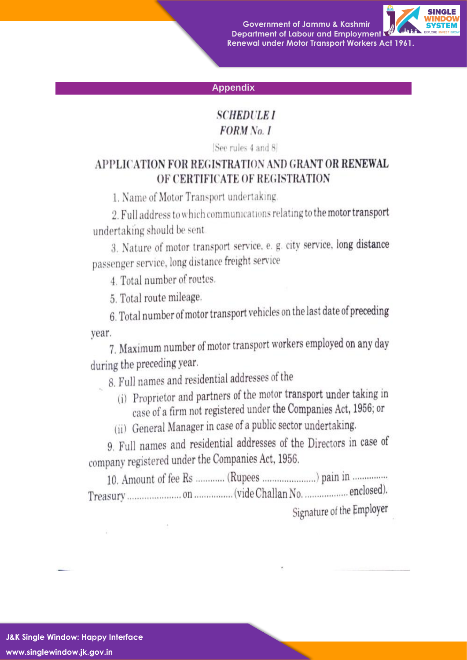**Government of Jammu & Kashmir Department of Labour and Employment Renewal under Motor Transport Workers Act 1961.** 



#### **Appendix**

#### **SCHEDULE I FORM** No. 1

[See rules 4 and 8]

### APPLICATION FOR REGISTRATION AND GRANT OR RENEWAL OF CERTIFICATE OF REGISTRATION

1. Name of Motor Transport undertaking.

2. Full address to which communications relating to the motor transport undertaking should be sent

3. Nature of motor transport service, e. g. city service, long distance passenger service, long distance freight service

4. Total number of routes.

5. Total route mileage.

6. Total number of motor transport vehicles on the last date of preceding year.

7. Maximum number of motor transport workers employed on any day during the preceding year.

8. Full names and residential addresses of the

- (i) Proprietor and partners of the motor transport under taking in case of a firm not registered under the Companies Act, 1956; or
- (ii) General Manager in case of a public sector undertaking.

9. Full names and residential addresses of the Directors in case of company registered under the Companies Act, 1956.

10. Amount of fee Rs ............ (Rupees ........................) pain in ............... Signature of the Employer